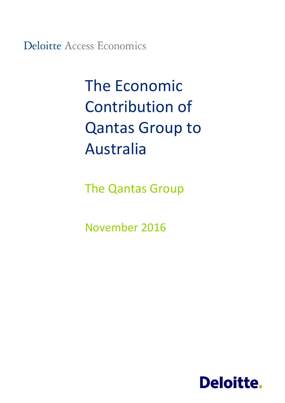**Deloitte Access Economics** 

# The Economic Contribution of Qantas Group to Australia

The Qantas Group

November 2016

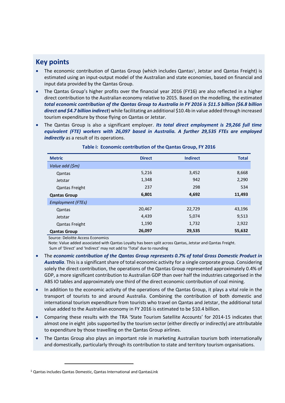## **Key points**

- The economic contribution of Qantas Group (which includes Qantas<sup>1</sup>, Jetstar and Qantas Freight) is estimated using an input-output model of the Australian and state economies, based on financial and input data provided by the Qantas Group.
- The Qantas Group's higher profits over the financial year 2016 (FY16) are also reflected in a higher direct contribution to the Australian economy relative to 2015. Based on the modelling, the estimated *total economic contribution of the Qantas Group to Australia in FY 2016 is \$11.5 billion (\$6.8 billion direct and \$4.7 billion indirect*) while facilitating an additional \$10.4b in value added through increased tourism expenditure by those flying on Qantas or Jetstar.
- The Qantas Group is also a significant employer. *Its total direct employment is 29,266 full time equivalent (FTE) workers with 26,097 based in Australia. A further 29,535 FTEs are employed indirectly* as a result of its operations.

| <b>Metric</b>         | <b>Direct</b> | <b>Indirect</b> | <b>Total</b> |
|-----------------------|---------------|-----------------|--------------|
| Value add (\$m)       |               |                 |              |
| Qantas                | 5,216         | 3,452           | 8,668        |
| Jetstar               | 1,348         | 942             | 2,290        |
| <b>Qantas Freight</b> | 237           | 298             | 534          |
| <b>Qantas Group</b>   | 6,801         | 4,692           | 11,493       |
| Employment (FTEs)     |               |                 |              |
| Qantas                | 20,467        | 22,729          | 43,196       |
| Jetstar               | 4,439         | 5,074           | 9,513        |
| <b>Qantas Freight</b> | 1,190         | 1,732           | 2,922        |
| <b>Qantas Group</b>   | 26,097        | 29,535          | 55,632       |

## **Table i: Economic contribution of the Qantas Group, FY 2016**

Source: Deloitte Access Economics

 Note: Value added associated with Qantas Loyalty has been split across Qantas, Jetstar and Qantas Freight. Sum of 'Direct' and 'Indirect' may not add to 'Total' due to rounding

- The *economic contribution of the Qantas Group represents 0.7% of total Gross Domestic Product in Australia*. This is a significant share of total economic activity for a single corporate group. Considering solely the direct contribution, the operations of the Qantas Group represented approximately 0.4% of GDP, a more significant contribution to Australian GDP than over half the industries categorised in the ABS IO tables and approximately one third of the direct economic contribution of coal mining.
- In addition to the economic activity of the operations of the Qantas Group, it plays a vital role in the transport of tourists to and around Australia. Combining the contribution of both domestic and international tourism expenditure from tourists who travel on Qantas and Jetstar, the additional total value added to the Australian economy in FY 2016 is estimated to be \$10.4 billion.
- Comparing these results with the TRA 'State Tourism Satellite Accounts' for 2014-15 indicates that almost one in eight jobs supported by the tourism sector (either directly or indirectly) are attributable to expenditure by those travelling on the Qantas Group airlines.
- The Qantas Group also plays an important role in marketing Australian tourism both internationally and domestically, particularly through its contribution to state and territory tourism organisations.

 $\ddot{\phantom{a}}$ 

<sup>1</sup> Qantas includes Qantas Domestic, Qantas International and QantasLink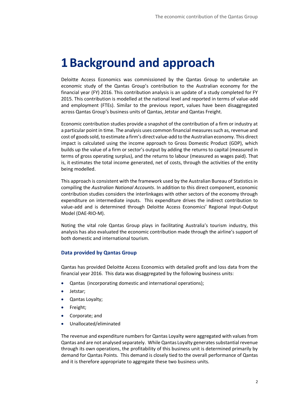## **1Background and approach**

Deloitte Access Economics was commissioned by the Qantas Group to undertake an economic study of the Qantas Group's contribution to the Australian economy for the financial year (FY) 2016. This contribution analysis is an update of a study completed for FY 2015. This contribution is modelled at the national level and reported in terms of value-add and employment (FTEs). Similar to the previous report, values have been disaggregated across Qantas Group's business units of Qantas, Jetstar and Qantas Freight.

Economic contribution studies provide a snapshot of the contribution of a firm or industry at a particular point in time. The analysis uses common financial measures such as, revenue and cost of goods sold, to estimate a firm's direct value-add to the Australian economy. This direct impact is calculated using the income approach to Gross Domestic Product (GDP), which builds up the value of a firm or sector's output by adding the returns to capital (measured in terms of gross operating surplus), and the returns to labour (measured as wages paid). That is, it estimates the total income generated, net of costs, through the activities of the entity being modelled.

This approach is consistent with the framework used by the Australian Bureau of Statistics in compiling the *Australian National Accounts*. In addition to this direct component, economic contribution studies considers the interlinkages with other sectors of the economy through expenditure on intermediate inputs. This expenditure drives the indirect contribution to value-add and is determined through Deloitte Access Economics' Regional Input-Output Model (DAE-RIO-M).

Noting the vital role Qantas Group plays in facilitating Australia's tourism industry, this analysis has also evaluated the economic contribution made through the airline's support of both domestic and international tourism.

## **Data provided by Qantas Group**

Qantas has provided Deloitte Access Economics with detailed profit and loss data from the financial year 2016. This data was disaggregated by the following business units:

- Qantas (incorporating domestic and international operations);
- Jetstar;
- Qantas Loyalty;
- Freight;
- Corporate; and
- Unallocated/eliminated

The revenue and expenditure numbers for Qantas Loyalty were aggregated with values from Qantas and are not analysed separately. While Qantas Loyalty generates substantial revenue through its own operations, the profitability of this business unit is determined primarily by demand for Qantas Points. This demand is closely tied to the overall performance of Qantas and it is therefore appropriate to aggregate these two business units.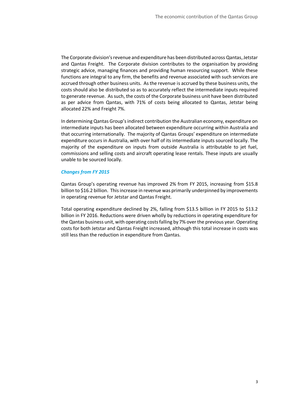The Corporate division's revenue and expenditure has been distributed across Qantas, Jetstar and Qantas Freight. The Corporate division contributes to the organisation by providing strategic advice, managing finances and providing human resourcing support. While these functions are integral to any firm, the benefits and revenue associated with such services are accrued through other business units. As the revenue is accrued by these business units, the costs should also be distributed so as to accurately reflect the intermediate inputs required to generate revenue. As such, the costs of the Corporate business unit have been distributed as per advice from Qantas, with 71% of costs being allocated to Qantas, Jetstar being allocated 22% and Freight 7%.

In determining Qantas Group's indirect contribution the Australian economy, expenditure on intermediate inputs has been allocated between expenditure occurring within Australia and that occurring internationally. The majority of Qantas Groups' expenditure on intermediate expenditure occurs in Australia, with over half of its intermediate inputs sourced locally. The majority of the expenditure on inputs from outside Australia is attributable to jet fuel, commissions and selling costs and aircraft operating lease rentals. These inputs are usually unable to be sourced locally.

## *Changes from FY 2015*

Qantas Group's operating revenue has improved 2% from FY 2015, increasing from \$15.8 billion to \$16.2 billion. This increase in revenue was primarily underpinned by improvements in operating revenue for Jetstar and Qantas Freight.

Total operating expenditure declined by 2%, falling from \$13.5 billion in FY 2015 to \$13.2 billion in FY 2016. Reductions were driven wholly by reductions in operating expenditure for the Qantas business unit, with operating costs falling by 7% over the previous year. Operating costs for both Jetstar and Qantas Freight increased, although this total increase in costs was still less than the reduction in expenditure from Qantas.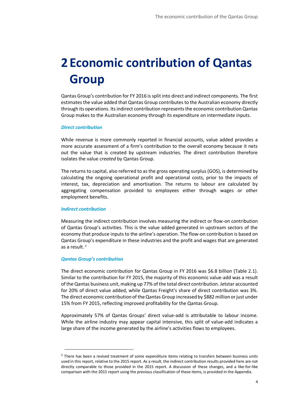## **2 Economic contribution of Qantas Group**

Qantas Group's contribution for FY 2016 is split into direct and indirect components. The first estimates the value added that Qantas Group contributes to the Australian economy directly through its operations. Its indirect contribution represents the economic contribution Qantas Group makes to the Australian economy through its expenditure on intermediate inputs.

## *Direct contribution*

While revenue is more commonly reported in financial accounts, value added provides a more accurate assessment of a firm's contribution to the overall economy because it nets out the value that is created by upstream industries. The direct contribution therefore isolates the value *created* by Qantas Group.

The returns to capital, also referred to as the gross operating surplus (GOS), is determined by calculating the ongoing operational profit and operational costs, prior to the impacts of interest, tax, depreciation and amortisation. The returns to labour are calculated by aggregating compensation provided to employees either through wages or other employment benefits.

## *Indirect contribution*

Measuring the indirect contribution involves measuring the indirect or flow-on contribution of Qantas Group's activities. This is the value added generated in upstream sectors of the economy that produce inputs to the airline's operation. The flow-on contribution is based on Qantas Group's expenditure in these industries and the profit and wages that are generated as a result. <sup>2</sup>

## *Qantas Group's contribution*

 $\ddot{\phantom{a}}$ 

The direct economic contribution for Qantas Group in FY 2016 was \$6.8 billion (Table 2.1). Similar to the contribution for FY 2015, the majority of this economic value-add was a result of the Qantas business unit, making up 77% of the total direct contribution. Jetstar accounted for 20% of direct value added, while Qantas Freight's share of direct contribution was 3%. The direct economic contribution of the Qantas Group increased by \$882 million or just under 15% from FY 2015, reflecting improved profitability for the Qantas Group.

Approximately 57% of Qantas Groups' direct value-add is attributable to labour income. While the airline industry may appear capital intensive, this split of value-add indicates a large share of the income generated by the airline's activities flows to employees.

<sup>&</sup>lt;sup>2</sup> There has been a revised treatment of some expenditure items relating to transfers between business units used in this report, relative to the 2015 report. As a result, the indirect contribution results provided here are not directly comparable to those provided in the 2015 report. A discussion of these changes, and a like-for-like comparison with the 2015 report using the previous classification of these items, is provided in the Appendix.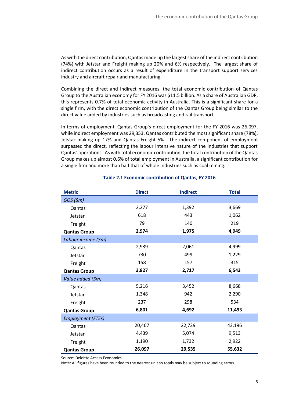As with the direct contribution, Qantas made up the largest share of the indirect contribution (74%) with Jetstar and Freight making up 20% and 6% respectively. The largest share of indirect contribution occurs as a result of expenditure in the transport support services industry and aircraft repair and manufacturing.

Combining the direct and indirect measures, the total economic contribution of Qantas Group to the Australian economy for FY 2016 was \$11.5 billion. As a share of Australian GDP, this represents 0.7% of total economic activity in Australia. This is a significant share for a single firm, with the direct economic contribution of the Qantas Group being similar to the direct value added by industries such as broadcasting and rail transport.

In terms of employment, Qantas Group's direct employment for the FY 2016 was 26,097, while indirect employment was 29,353. Qantas contributed the most significant share (78%), Jetstar making up 17% and Qantas Freight 5%. The indirect component of employment surpassed the direct, reflecting the labour intensive nature of the industries that support Qantas' operations. As with total economic contribution, the total contribution of the Qantas Group makes up almost 0.6% of total employment in Australia, a significant contribution for a single firm and more than half that of whole industries such as coal mining.

| <b>Metric</b>            | <b>Direct</b> | <b>Indirect</b> | <b>Total</b> |
|--------------------------|---------------|-----------------|--------------|
| GOS(5m)                  |               |                 |              |
| Qantas                   | 2,277         | 1,392           | 3,669        |
| Jetstar                  | 618           | 443             | 1,062        |
| Freight                  | 79            | 140             | 219          |
| <b>Qantas Group</b>      | 2,974         | 1,975           | 4,949        |
| Labour income (\$m)      |               |                 |              |
| Qantas                   | 2,939         | 2,061           | 4,999        |
| Jetstar                  | 730           | 499             | 1,229        |
| Freight                  | 158           | 157             | 315          |
| <b>Qantas Group</b>      | 3,827         | 2,717           | 6,543        |
| Value added (\$m)        |               |                 |              |
| Qantas                   | 5,216         | 3,452           | 8,668        |
| Jetstar                  | 1,348         | 942             | 2,290        |
| Freight                  | 237           | 298             | 534          |
| <b>Qantas Group</b>      | 6,801         | 4,692           | 11,493       |
| <b>Employment (FTEs)</b> |               |                 |              |
| Qantas                   | 20,467        | 22,729          | 43,196       |
| Jetstar                  | 4,439         | 5,074           | 9,513        |
| Freight                  | 1,190         | 1,732           | 2,922        |
| <b>Qantas Group</b>      | 26,097        | 29,535          | 55,632       |

## **Table 2.1 Economic contribution of Qantas, FY 2016**

Source: Deloitte Access Economics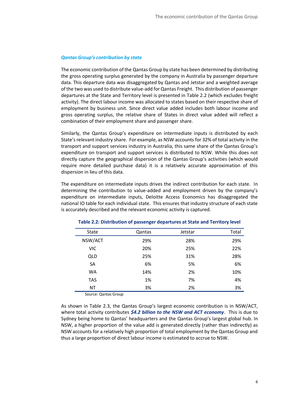## *Qantas Group's contribution by state*

The economic contribution of the Qantas Group by state has been determined by distributing the gross operating surplus generated by the company in Australia by passenger departure data. This departure data was disaggregated by Qantas and Jetstar and a weighted average of the two was used to distribute value-add for Qantas Freight. This distribution of passenger departures at the State and Territory level is presented in [Table 2.2](#page-6-0) (which excludes freight activity). The direct labour income was allocated to states based on their respective share of employment by business unit. Since direct value added includes both labour income and gross operating surplus, the relative share of States in direct value added will reflect a combination of their employment share and passenger share.

Similarly, the Qantas Group's expenditure on intermediate inputs is distributed by each State's relevant industry share. For example, as NSW accounts for 32% of total activity in the transport and support services industry in Australia, this same share of the Qantas Group's expenditure on transport and support services is distributed to NSW. While this does not directly capture the geographical dispersion of the Qantas Group's activities (which would require more detailed purchase data) it is a relatively accurate approximation of this dispersion in lieu of this data.

The expenditure on intermediate inputs drives the indirect contribution for each state. In determining the contribution to value-added and employment driven by the company's expenditure on intermediate inputs, Deloitte Access Economics has disaggregated the national IO table for each individual state. This ensures that industry structure of each state is accurately described and the relevant economic activity is captured.

| <b>State</b> | Qantas | Jetstar | Total |
|--------------|--------|---------|-------|
|              |        |         |       |
| NSW/ACT      | 29%    | 28%     | 29%   |
| <b>VIC</b>   | 20%    | 25%     | 22%   |
| <b>QLD</b>   | 25%    | 31%     | 28%   |
| <b>SA</b>    | 6%     | 5%      | 6%    |
| <b>WA</b>    | 14%    | 2%      | 10%   |
| <b>TAS</b>   | 1%     | 7%      | 4%    |
| NT           | 3%     | 2%      | 3%    |

## <span id="page-6-0"></span>**Table 2.2: Distribution of passenger departures at State and Territory level**

Source: Qantas Group

As shown in [Table 2.3](#page-7-0), the Qantas Group's largest economic contribution is in NSW/ACT, where total activity contributes *\$4.2 billion to the NSW and ACT economy*. This is due to Sydney being home to Qantas' headquarters and the Qantas Group's largest global hub. In NSW, a higher proportion of the value add is generated directly (rather than indirectly) as NSW accounts for a relatively high proportion of total employment by the Qantas Group and thus a large proportion of direct labour income is estimated to accrue to NSW.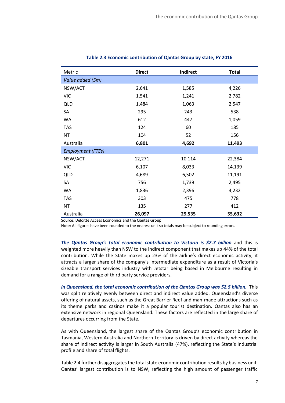| Metric                   | <b>Direct</b> | Indirect | <b>Total</b> |
|--------------------------|---------------|----------|--------------|
| Value added (\$m)        |               |          |              |
| NSW/ACT                  | 2,641         | 1,585    | 4,226        |
| <b>VIC</b>               | 1,541         | 1,241    | 2,782        |
| <b>QLD</b>               | 1,484         | 1,063    | 2,547        |
| SA                       | 295           | 243      | 538          |
| <b>WA</b>                | 612           | 447      | 1,059        |
| <b>TAS</b>               | 124           | 60       | 185          |
| <b>NT</b>                | 104           | 52       | 156          |
| Australia                | 6,801         | 4,692    | 11,493       |
| <b>Employment (FTEs)</b> |               |          |              |
| NSW/ACT                  | 12,271        | 10,114   | 22,384       |
| <b>VIC</b>               | 6,107         | 8,033    | 14,139       |
| <b>QLD</b>               | 4,689         | 6,502    | 11,191       |
| SA                       | 756           | 1,739    | 2,495        |
| <b>WA</b>                | 1,836         | 2,396    | 4,232        |
| <b>TAS</b>               | 303           | 475      | 778          |
| <b>NT</b>                | 135           | 277      | 412          |
| Australia                | 26,097        | 29,535   | 55,632       |

## <span id="page-7-0"></span>**Table 2.3 Economic contribution of Qantas Group by state, FY 2016**

Source: Deloitte Access Economics and the Qantas Group

Note: All figures have been rounded to the nearest unit so totals may be subject to rounding errors.

*The Qantas Group's total economic contribution to Victoria is \$2.7 billion* and this is weighted more heavily than NSW to the indirect component that makes up 44% of the total contribution. While the State makes up 23% of the airline's direct economic activity, it attracts a larger share of the company's intermediate expenditure as a result of Victoria's sizeable transport services industry with Jetstar being based in Melbourne resulting in demand for a range of third party service providers.

*In Queensland, the total economic contribution of the Qantas Group was \$2.5 billion.* This was split relatively evenly between direct and indirect value added. Queensland's diverse offering of natural assets, such as the Great Barrier Reef and man-made attractions such as its theme parks and casinos make it a popular tourist destination. Qantas also has an extensive network in regional Queensland. These factors are reflected in the large share of departures occurring from the State.

As with Queensland, the largest share of the Qantas Group's economic contribution in Tasmania, Western Australia and Northern Territory is driven by direct activity whereas the share of indirect activity is larger in South Australia (47%), reflecting the State's industrial profile and share of total flights.

[Table 2.4](#page-8-0) further disaggregates the total state economic contribution results by business unit. Qantas' largest contribution is to NSW, reflecting the high amount of passenger traffic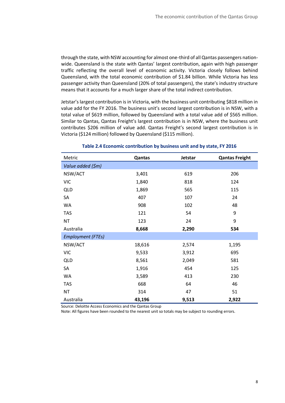through the state, with NSW accounting for almost one-third of all Qantas passengers nationwide. Queensland is the state with Qantas' largest contribution, again with high passenger traffic reflecting the overall level of economic activity. Victoria closely follows behind Queensland, with the total economic contribution of \$1.84 billion. While Victoria has less passenger activity than Queensland (20% of total passengers), the state's industry structure means that it accounts for a much larger share of the total indirect contribution.

Jetstar's largest contribution is in Victoria, with the business unit contributing \$818 million in value add for the FY 2016. The business unit's second largest contribution is in NSW, with a total value of \$619 million, followed by Queensland with a total value add of \$565 million. Similar to Qantas, Qantas Freight's largest contribution is in NSW, where the business unit contributes \$206 million of value add. Qantas Freight's second largest contribution is in Victoria (\$124 million) followed by Queensland (\$115 million).

| Metric                   | Qantas | Jetstar | <b>Qantas Freight</b> |
|--------------------------|--------|---------|-----------------------|
| Value added (\$m)        |        |         |                       |
| NSW/ACT                  | 3,401  | 619     | 206                   |
| <b>VIC</b>               | 1,840  | 818     | 124                   |
| <b>QLD</b>               | 1,869  | 565     | 115                   |
| SA                       | 407    | 107     | 24                    |
| WA                       | 908    | 102     | 48                    |
| <b>TAS</b>               | 121    | 54      | 9                     |
| <b>NT</b>                | 123    | 24      | 9                     |
| Australia                | 8,668  | 2,290   | 534                   |
| <b>Employment (FTEs)</b> |        |         |                       |
| NSW/ACT                  | 18,616 | 2,574   | 1,195                 |
| <b>VIC</b>               | 9,533  | 3,912   | 695                   |
| <b>QLD</b>               | 8,561  | 2,049   | 581                   |
| SA                       | 1,916  | 454     | 125                   |
| WA                       | 3,589  | 413     | 230                   |
| <b>TAS</b>               | 668    | 64      | 46                    |
| <b>NT</b>                | 314    | 47      | 51                    |
| Australia                | 43,196 | 9,513   | 2,922                 |

## <span id="page-8-0"></span>**Table 2.4 Economic contribution by business unit and by state, FY 2016**

Source: Deloitte Access Economics and the Qantas Group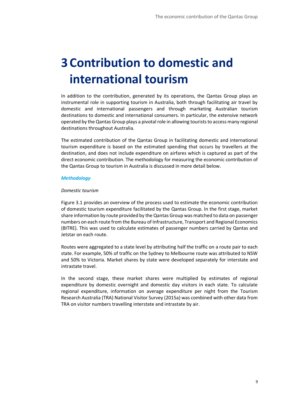## **3 Contribution to domestic and international tourism**

In addition to the contribution, generated by its operations, the Qantas Group plays an instrumental role in supporting tourism in Australia, both through facilitating air travel by domestic and international passengers and through marketing Australian tourism destinations to domestic and international consumers. In particular, the extensive network operated by the Qantas Group plays a pivotal role in allowing tourists to access many regional destinations throughout Australia.

The estimated contribution of the Qantas Group in facilitating domestic and international tourism expenditure is based on the estimated spending that occurs by travellers at the destination, and does not include expenditure on airfares which is captured as part of the direct economic contribution. The methodology for measuring the economic contribution of the Qantas Group to tourism in Australia is discussed in more detail below.

## *Methodology*

## *Domestic tourism*

[Figure 3.1](#page-10-0) provides an overview of the process used to estimate the economic contribution of domestic tourism expenditure facilitated by the Qantas Group. In the first stage, market share information by route provided by the Qantas Group was matched to data on passenger numbers on each route from the Bureau of Infrastructure, Transport and Regional Economics (BITRE). This was used to calculate estimates of passenger numbers carried by Qantas and Jetstar on each route.

Routes were aggregated to a state level by attributing half the traffic on a route pair to each state. For example, 50% of traffic on the Sydney to Melbourne route was attributed to NSW and 50% to Victoria. Market shares by state were developed separately for interstate and intrastate travel.

In the second stage, these market shares were multiplied by estimates of regional expenditure by domestic overnight and domestic day visitors in each state. To calculate regional expenditure, information on average expenditure per night from the Tourism Research Australia (TRA) National Visitor Survey (2015a) was combined with other data from TRA on visitor numbers travelling interstate and intrastate by air.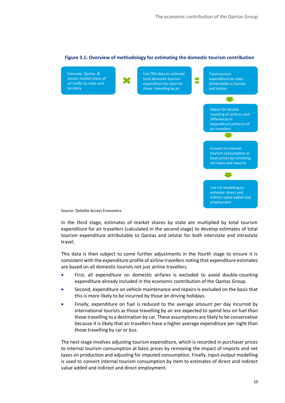

## <span id="page-10-0"></span>**Figure 3.1: Overview of methodology for estimating the domestic tourism contribution**

In the third stage, estimates of market shares by state are multiplied by total tourism expenditure for air travellers (calculated in the second stage) to develop estimates of total tourism expenditure attributable to Qantas and Jetstar for both interstate and intrastate travel.

This data is then subject to some further adjustments in the fourth stage to ensure it is consistent with the expenditure profile of airline travellers noting that expenditure estimates are based on all domestic tourists not just airline travellers.

- First, all expenditure on domestic airfares is excluded to avoid double-counting expenditure already included in the economic contribution of the Qantas Group.
- Second, expenditure on vehicle maintenance and repairs is excluded on the basis that this is more likely to be incurred by those on driving holidays.
- Finally, expenditure on fuel is reduced to the average amount per day incurred by international tourists as those travelling by air are expected to spend less on fuel than those travelling to a destination by car. These assumptions are likely to be conservative because it is likely that air travellers have a higher average expenditure per night than those travelling by car or bus.

The next stage involves adjusting tourism expenditure, which is recorded in purchaser prices to internal tourism consumption at basic prices by removing the impact of imports and net taxes on production and adjusting for imputed consumption. Finally, input-output modelling is used to convert internal tourism consumption by item to estimates of direct and indirect value added and indirect and direct employment.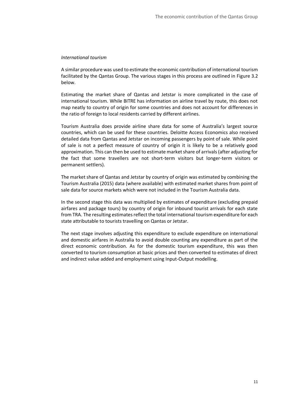## *International tourism*

A similar procedure was used to estimate the economic contribution of international tourism facilitated by the Qantas Group. The various stages in this process are outlined in [Figure 3.2](#page-12-0) below.

Estimating the market share of Qantas and Jetstar is more complicated in the case of international tourism. While BITRE has information on airline travel by route, this does not map neatly to country of origin for some countries and does not account for differences in the ratio of foreign to local residents carried by different airlines.

Tourism Australia does provide airline share data for some of Australia's largest source countries, which can be used for these countries. Deloitte Access Economics also received detailed data from Qantas and Jetstar on incoming passengers by point of sale. While point of sale is not a perfect measure of country of origin it is likely to be a relatively good approximation. This can then be used to estimate market share of arrivals (after adjusting for the fact that some travellers are not short-term visitors but longer-term visitors or permanent settlers).

The market share of Qantas and Jetstar by country of origin was estimated by combining the Tourism Australia (2015) data (where available) with estimated market shares from point of sale data for source markets which were not included in the Tourism Australia data.

In the second stage this data was multiplied by estimates of expenditure (excluding prepaid airfares and package tours) by country of origin for inbound tourist arrivals for each state from TRA. The resulting estimates reflect the total international tourism expenditure for each state attributable to tourists travelling on Qantas or Jetstar.

The next stage involves adjusting this expenditure to exclude expenditure on international and domestic airfares in Australia to avoid double counting any expenditure as part of the direct economic contribution. As for the domestic tourism expenditure, this was then converted to tourism consumption at basic prices and then converted to estimates of direct and indirect value added and employment using Input-Output modelling.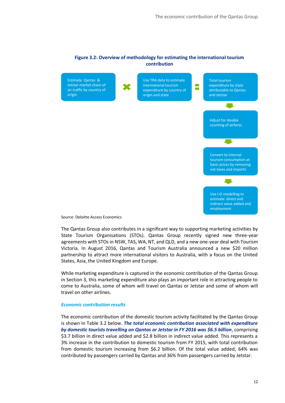## <span id="page-12-0"></span>**Figure 3.2: Overview of methodology for estimating the international tourism contribution**



Source: Deloitte Access Economics

The Qantas Group also contributes in a significant way to supporting marketing activities by State Tourism Organisations (STOs). Qantas Group recently signed new three-year agreements with STOs in NSW, TAS, WA, NT, and QLD, and a new one-year deal with Tourism Victoria. In August 2016, Qantas and Tourism Australia announced a new \$20 million partnership to attract more international visitors to Australia, with a focus on the United States, Asia, the United Kingdom and Europe.

While marketing expenditure is captured in the economic contribution of the Qantas Group in Section 3, this marketing expenditure also plays an important role in attracting people to come to Australia, some of whom will travel on Qantas or Jetstar and some of whom will travel on other airlines.

#### *Economic contribution results*

The economic contribution of the domestic tourism activity facilitated by the Qantas Group is shown in [Table 3.2](#page-13-0) below. *The total economic contribution associated with expenditure by domestic tourists travelling on Qantas or Jetstar in FY 2016 was \$6.5 billion*, comprising \$3.7 billion in direct value added and \$2.8 billion in indirect value added. This represents a 3% increase in the contribution to domestic tourism from FY 2015, with total contribution from domestic tourism increasing from \$6.2 billion. Of the total value added, 64% was contributed by passengers carried by Qantas and 36% from passengers carried by Jetstar.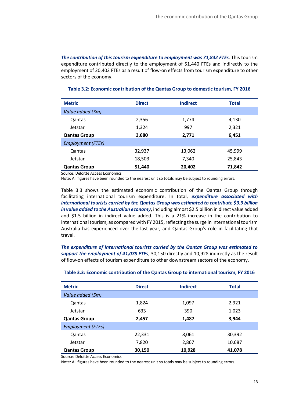*The contribution of this tourism expenditure to employment was 71,842 FTEs*. This tourism expenditure contributed directly to the employment of 51,440 FTEs and indirectly to the employment of 20,402 FTEs as a result of flow-on effects from tourism expenditure to other sectors of the economy.

| <b>Metric</b>            | <b>Direct</b> | <b>Indirect</b><br><b>Total</b> |        |
|--------------------------|---------------|---------------------------------|--------|
| Value added (\$m)        |               |                                 |        |
| Qantas                   | 2,356         | 1,774                           | 4,130  |
| Jetstar                  | 1,324         | 997                             | 2,321  |
| <b>Qantas Group</b>      | 3,680         | 2,771                           | 6,451  |
| <b>Employment (FTEs)</b> |               |                                 |        |
| Qantas                   | 32,937        | 13,062                          | 45,999 |
| Jetstar                  | 18,503        | 7,340                           | 25,843 |
| <b>Qantas Group</b>      | 51,440        | 20,402                          | 71,842 |

## <span id="page-13-0"></span>**Table 3.2: Economic contribution of the Qantas Group to domestic tourism, FY 2016**

Source: Deloitte Access Economics

Note: All figures have been rounded to the nearest unit so totals may be subject to rounding errors.

[Table 3.3](#page-13-1) shows the estimated economic contribution of the Qantas Group through facilitating international tourism expenditure. In total, *expenditure associated with international tourists carried by the Qantas Group was estimated to contribute \$3.9 billion in value added to the Australian economy*, including almost \$2.5 billion in direct value added and \$1.5 billion in indirect value added. This is a 21% increase in the contribution to international tourism, as compared with FY 2015, reflecting the surge in international tourism Australia has experienced over the last year, and Qantas Group's role in facilitating that travel.

*The expenditure of international tourists carried by the Qantas Group was estimated to support the employment of 41,078 FTEs*, 30,150 directly and 10,928 indirectly as the result of flow-on effects of tourism expenditure to other downstream sectors of the economy.

| <b>Metric</b>            | <b>Direct</b> | <b>Indirect</b> | <b>Total</b> |
|--------------------------|---------------|-----------------|--------------|
| Value added (\$m)        |               |                 |              |
| Qantas                   | 1,824         | 1,097           | 2,921        |
| Jetstar                  | 633           | 390             | 1,023        |
| <b>Qantas Group</b>      | 2,457         | 1,487           | 3,944        |
| <b>Employment (FTEs)</b> |               |                 |              |
| Qantas                   | 22,331        | 8,061           | 30,392       |
| Jetstar                  | 7,820         | 2,867           | 10,687       |
| <b>Qantas Group</b>      | 30,150        | 10,928          | 41,078       |

## <span id="page-13-1"></span>**Table 3.3: Economic contribution of the Qantas Group to international tourism, FY 2016**

Source: Deloitte Access Economics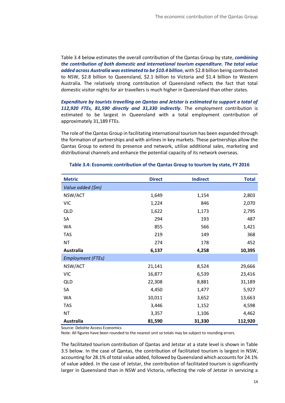[Table 3.4](#page-14-0) below estimates the overall contribution of the Qantas Group by state, *combining the contribution of both domestic and international tourism expenditure. The total value added across Australia was estimated to be \$10.4 billion*, with \$2.8 billion being contributed to NSW, \$2.8 billion to Queensland, \$2.1 billion to Victoria and \$1.4 billion to Western Australia. The relatively strong contribution of Queensland reflects the fact that total domestic visitor nights for air travellers is much higher in Queensland than other states.

*Expenditure by tourists travelling on Qantas and Jetstar is estimated to support a total of 112,920 FTEs, 81,590 directly and 31,330 indirectly*. The employment contribution is estimated to be largest in Queensland with a total employment contribution of approximately 31,189 FTEs.

The role of the Qantas Group in facilitating international tourism has been expanded through the formation of partnerships and with airlines in key markets. These partnerships allow the Qantas Group to extend its presence and network, utilise additional sales, marketing and distributional channels and enhance the potential capacity of its network overseas.

| <b>Metric</b>            | <b>Direct</b> | <b>Indirect</b> | <b>Total</b> |
|--------------------------|---------------|-----------------|--------------|
| Value added (\$m)        |               |                 |              |
| NSW/ACT                  | 1,649         | 1,154           | 2,803        |
| <b>VIC</b>               | 1,224         | 846             | 2,070        |
| <b>QLD</b>               | 1,622         | 1,173           | 2,795        |
| SA                       | 294           | 193             | 487          |
| <b>WA</b>                | 855           | 566             | 1,421        |
| <b>TAS</b>               | 219           | 149             | 368          |
| <b>NT</b>                | 274           | 178             | 452          |
| <b>Australia</b>         | 6,137         | 4,258           | 10,395       |
| <b>Employment (FTEs)</b> |               |                 |              |
| NSW/ACT                  | 21,141        | 8,524           | 29,666       |
| <b>VIC</b>               | 16,877        | 6,539           | 23,416       |
| <b>QLD</b>               | 22,308        | 8,881           | 31,189       |
| SA                       | 4,450         | 1,477           | 5,927        |
| <b>WA</b>                | 10,011        | 3,652           | 13,663       |
| <b>TAS</b>               | 3,446         | 1,152           | 4,598        |
| <b>NT</b>                | 3,357         | 1,106           | 4,462        |
| <b>Australia</b>         | 81,590        | 31,330          | 112,920      |

#### <span id="page-14-0"></span>**Table 3.4: Economic contribution of the Qantas Group to tourism by state, FY 2016**

Source: Deloitte Access Economics

Note: All figures have been rounded to the nearest unit so totals may be subject to rounding errors.

The facilitated tourism contribution of Qantas and Jetstar at a state level is shown in Table 3.5 below. In the case of Qantas, the contribution of facilitated tourism is largest in NSW, accounting for 28.1% of total value added, followed by Queensland which accounts for 24.1% of value added. In the case of Jetstar, the contribution of facilitated tourism is significantly larger in Queensland than in NSW and Victoria, reflecting the role of Jetstar in servicing a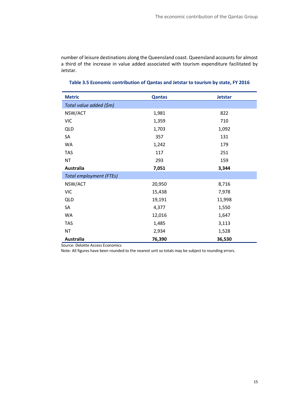number of leisure destinations along the Queensland coast. Queensland accounts for almost a third of the increase in value added associated with tourism expenditure facilitated by Jetstar.

| <b>Metric</b>                  | <b>Qantas</b> | <b>Jetstar</b> |
|--------------------------------|---------------|----------------|
| Total value added (\$m)        |               |                |
| NSW/ACT                        | 1,981         | 822            |
| <b>VIC</b>                     | 1,359         | 710            |
| <b>QLD</b>                     | 1,703         | 1,092          |
| SA                             | 357           | 131            |
| <b>WA</b>                      | 1,242         | 179            |
| <b>TAS</b>                     | 117           | 251            |
| <b>NT</b>                      | 293           | 159            |
| <b>Australia</b>               | 7,051         | 3,344          |
| <b>Total employment (FTEs)</b> |               |                |
| NSW/ACT                        | 20,950        | 8,716          |
| <b>VIC</b>                     | 15,438        | 7,978          |
| <b>QLD</b>                     | 19,191        | 11,998         |
| SA                             | 4,377         | 1,550          |
| <b>WA</b>                      | 12,016        | 1,647          |
| <b>TAS</b>                     | 1,485         | 3,113          |
| <b>NT</b>                      | 2,934         | 1,528          |
| <b>Australia</b>               | 76,390        | 36,530         |

## **Table 3.5 Economic contribution of Qantas and Jetstar to tourism by state, FY 2016**

Source: Deloitte Access Economics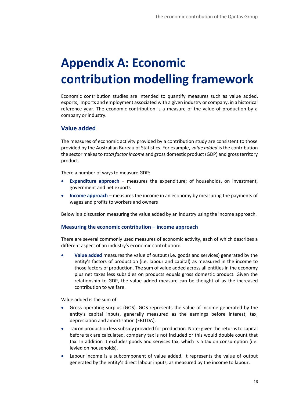## **Appendix A: Economic contribution modelling framework**

Economic contribution studies are intended to quantify measures such as value added, exports, imports and employment associated with a given industry or company, in a historical reference year. The economic contribution is a measure of the value of production by a company or industry.

## **Value added**

The measures of economic activity provided by a contribution study are consistent to those provided by the Australian Bureau of Statistics. For example, *value added* is the contribution the sector makes to *total factor income* and gross domestic product (GDP) and gross territory product.

There a number of ways to measure GDP:

- **Expenditure approach** measures the expenditure; of households, on investment, government and net exports
- **Income approach** measures the income in an economy by measuring the payments of wages and profits to workers and owners

Below is a discussion measuring the value added by an industry using the income approach.

## **Measuring the economic contribution – income approach**

There are several commonly used measures of economic activity, each of which describes a different aspect of an industry's economic contribution:

 **Value added** measures the value of output (i.e. goods and services) generated by the entity's factors of production (i.e. labour and capital) as measured in the income to those factors of production. The sum of value added across all entities in the economy plus net taxes less subsidies on products equals gross domestic product. Given the relationship to GDP, the value added measure can be thought of as the increased contribution to welfare.

Value added is the sum of:

- Gross operating surplus (GOS). GOS represents the value of income generated by the entity's capital inputs, generally measured as the earnings before interest, tax, depreciation and amortisation (EBITDA).
- Tax on production less subsidy provided for production. Note: given the returns to capital before tax are calculated, company tax is not included or this would double count that tax. In addition it excludes goods and services tax, which is a tax on consumption (i.e. levied on households).
- Labour income is a subcomponent of value added. It represents the value of output generated by the entity's direct labour inputs, as measured by the income to labour.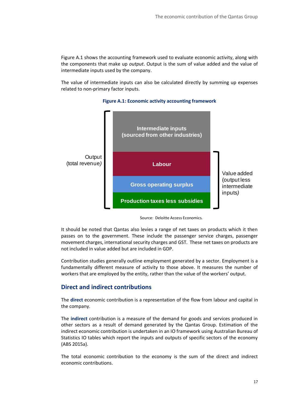[Figure A.1](#page-17-0) shows the accounting framework used to evaluate economic activity, along with the components that make up *output*. Output is the sum of value added and the value of intermediate inputs used by the company.

<span id="page-17-0"></span>The value of intermediate inputs can also be calculated directly by summing up expenses related to non-primary factor inputs.



## **Figure A.1: Economic activity accounting framework**

It should be noted that Qantas also levies a range of net taxes on products which it then passes on to the government. These include the passenger service charges, passenger movement charges, international security charges and GST. These net taxes on products are not included in value added but are included in GDP.

Contribution studies generally outline employment generated by a sector. Employment is a fundamentally different measure of activity to those above. It measures the number of workers that are employed by the entity, rather than the value of the workers' output.

## **Direct and indirect contributions**

The **direct** economic contribution is a representation of the flow from labour and capital in the company.

The **indirect** contribution is a measure of the demand for goods and services produced in other sectors as a result of demand generated by the Qantas Group. Estimation of the indirect economic contribution is undertaken in an IO framework using Australian Bureau of Statistics IO tables which report the inputs and outputs of specific sectors of the economy (ABS 2015a).

The total economic contribution to the economy is the sum of the direct and indirect economic contributions.

Source: Deloitte Access Economics.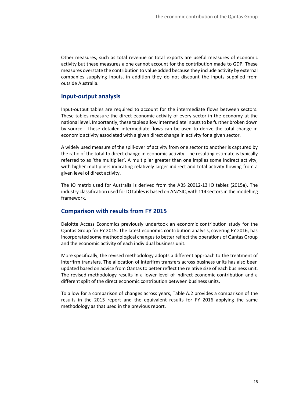Other measures, such as total revenue or total exports are useful measures of economic activity but these measures alone cannot account for the contribution made to GDP. These measures overstate the contribution to value added because they include activity by external companies supplying inputs, in addition they do not discount the inputs supplied from outside Australia.

## **Input-output analysis**

Input-output tables are required to account for the intermediate flows between sectors. These tables measure the direct economic activity of every sector in the economy at the national level. Importantly, these tables allow intermediate inputs to be further broken down by source. These detailed intermediate flows can be used to derive the total change in economic activity associated with a given direct change in activity for a given sector.

A widely used measure of the spill-over of activity from one sector to another is captured by the ratio of the total to direct change in economic activity. The resulting estimate is typically referred to as 'the multiplier'. A multiplier greater than one implies some indirect activity, with higher multipliers indicating relatively larger indirect and total activity flowing from a given level of direct activity.

The IO matrix used for Australia is derived from the ABS 20012-13 IO tables (2015a). The industry classification used for IO tables is based on ANZSIC, with 114 sectors in the modelling framework.

## **Comparison with results from FY 2015**

Deloitte Access Economics previously undertook an economic contribution study for the Qantas Group for FY 2015. The latest economic contribution analysis, covering FY 2016, has incorporated some methodological changes to better reflect the operations of Qantas Group and the economic activity of each individual business unit.

More specifically, the revised methodology adopts a different approach to the treatment of interfirm transfers. The allocation of interfirm transfers across business units has also been updated based on advice from Qantas to better reflect the relative size of each business unit. The revised methodology results in a lower level of indirect economic contribution and a different split of the direct economic contribution between business units.

To allow for a comparison of changes across years, Table A.2 provides a comparison of the results in the 2015 report and the equivalent results for FY 2016 applying the same methodology as that used in the previous report.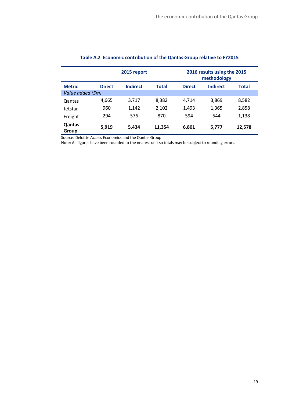| 2015 report       |               |                 |              | 2016 results using the 2015<br>methodology |                 |              |
|-------------------|---------------|-----------------|--------------|--------------------------------------------|-----------------|--------------|
| <b>Metric</b>     | <b>Direct</b> | <b>Indirect</b> | <b>Total</b> | <b>Direct</b>                              | <b>Indirect</b> | <b>Total</b> |
| Value added (\$m) |               |                 |              |                                            |                 |              |
| Qantas            | 4,665         | 3,717           | 8,382        | 4,714                                      | 3,869           | 8,582        |
| Jetstar           | 960           | 1,142           | 2,102        | 1,493                                      | 1,365           | 2,858        |
| Freight           | 294           | 576             | 870          | 594                                        | 544             | 1,138        |
| Qantas<br>Group   | 5,919         | 5,434           | 11,354       | 6,801                                      | 5,777           | 12,578       |

## **Table A.2 Economic contribution of the Qantas Group relative to FY2015**

Source: Deloitte Access Economics and the Qantas Group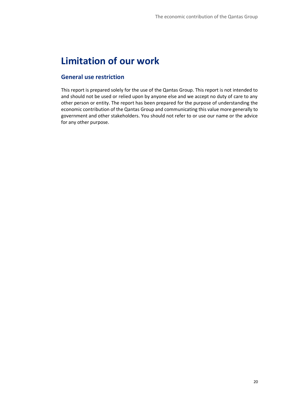## **Limitation of our work**

## **General use restriction**

This report is prepared solely for the use of the Qantas Group. This report is not intended to and should not be used or relied upon by anyone else and we accept no duty of care to any other person or entity. The report has been prepared for the purpose of understanding the economic contribution of the Qantas Group and communicating this value more generally to government and other stakeholders. You should not refer to or use our name or the advice for any other purpose.